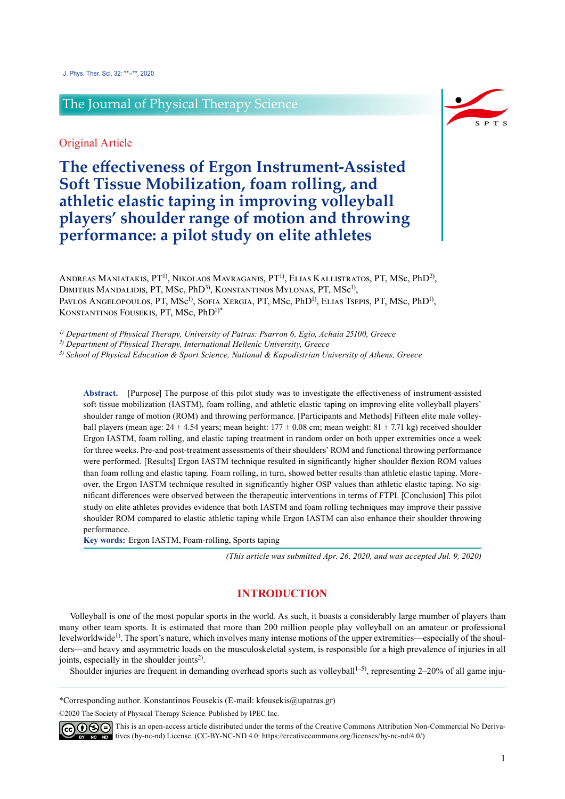## The Journal of Physical Therapy Science

### Original Article

# **The effectiveness of Ergon Instrument-Assisted Soft Tissue Mobilization, foam rolling, and athletic elastic taping in improving volleyball players' shoulder range of motion and throwing performance: a pilot study on elite athletes**



*1) Department of Physical Therapy, University of Patras: Psarron 6, Egio, Achaia 25100, Greece*

*2) Department of Physical Therapy, International Hellenic University, Greece*

*3) School of Physical Education & Sport Science, National & Kapodistrian University of Athens, Greece*

Abstract. [Purpose] The purpose of this pilot study was to investigate the effectiveness of instrument-assisted soft tissue mobilization (IASTM), foam rolling, and athletic elastic taping on improving elite volleyball players' shoulder range of motion (ROM) and throwing performance. [Participants and Methods] Fifteen elite male volleyball players (mean age:  $24 \pm 4.54$  years; mean height:  $177 \pm 0.08$  cm; mean weight:  $81 \pm 7.71$  kg) received shoulder Ergon IASTM, foam rolling, and elastic taping treatment in random order on both upper extremities once a week for three weeks. Pre-and post-treatment assessments of their shoulders' ROM and functional throwing performance were performed. [Results] Ergon IASTM technique resulted in significantly higher shoulder flexion ROM values than foam rolling and elastic taping. Foam rolling, in turn, showed better results than athletic elastic taping. Moreover, the Ergon IASTM technique resulted in significantly higher OSP values than athletic elastic taping. No significant differences were observed between the therapeutic interventions in terms of FTPI. [Conclusion] This pilot study on elite athletes provides evidence that both IASTM and foam rolling techniques may improve their passive shoulder ROM compared to elastic athletic taping while Ergon IASTM can also enhance their shoulder throwing performance.

**Key words:** Ergon IASTM, Foam-rolling, Sports taping

*(This article was submitted Apr. 26, 2020, and was accepted Jul. 9, 2020)*

#### **INTRODUCTION**

Volleyball is one of the most popular sports in the world. As such, it boasts a considerably large rnumber of players than many other team sports. It is estimated that more than 200 million people play volleyball on an amateur or professional levelworldwide<sup>1)</sup>. The sport's nature, which involves many intense motions of the upper extremities—especially of the shoulders—and heavy and asymmetric loads on the musculoskeletal system, is responsible for a high prevalence of injuries in all joints, especially in the shoulder joints<sup>[2\)](#page-3-1)</sup>.

Shoulder injuries are frequent in demanding overhead sports such as volleyball<sup>1–5</sup>), representing  $2-20%$  of all game inju-

\*Corresponding author. Konstantinos Fousekis (E-mail: kfousekis@upatras.gr)

©2020 The Society of Physical Therapy Science. Published by IPEC Inc.

**COOO** This is an open-access article distributed under the terms of the Creative Commons Attribution Non-Commercial No Derivatives (by-nc-nd) License. (CC-BY-NC-ND 4.0: <https://creativecommons.org/licenses/by-nc-nd/4.0/>)

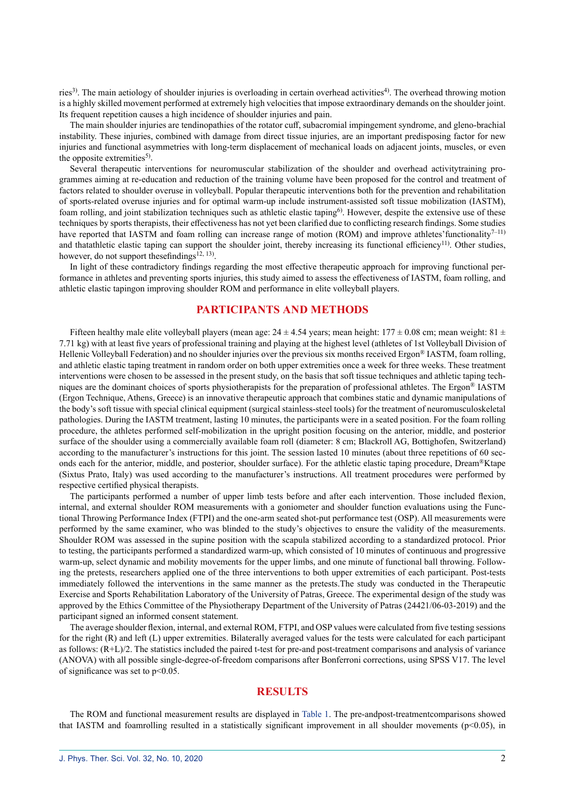ries<sup>3)</sup>. The main aetiology of shoulder injuries is overloading in certain overhead activities<sup>[4](#page-3-3)</sup>). The overhead throwing motion is a highly skilled movement performed at extremely high velocities that impose extraordinary demands on the shoulder joint. Its frequent repetition causes a high incidence of shoulder injuries and pain.

The main shoulder injuries are tendinopathies of the rotator cuff, subacromial impingement syndrome, and gleno-brachial instability. These injuries, combined with damage from direct tissue injuries, are an important predisposing factor for new injuries and functional asymmetries with long-term displacement of mechanical loads on adjacent joints, muscles, or even the opposite extremities<sup>5)</sup>.

Several therapeutic interventions for neuromuscular stabilization of the shoulder and overhead activitytraining programmes aiming at re-education and reduction of the training volume have been proposed for the control and treatment of factors related to shoulder overuse in volleyball. Popular therapeutic interventions both for the prevention and rehabilitation of sports-related overuse injuries and for optimal warm-up include instrument-assisted soft tissue mobilization (IASTM), foam rolling, and joint stabilization techniques such as athletic elastic taping<sup>6</sup>. However, despite the extensive use of these techniques by sports therapists, their effectiveness has not yet been clarified due to conflicting research findings. Some studies have reported that IASTM and foam rolling can increase range of motion (ROM) and improve athletes' functionality<sup>[7–11](#page-3-6))</sup> and thatathletic elastic taping can support the shoulder joint, thereby increasing its functional efficiency<sup>[11\)](#page-3-7)</sup>. Other studies, however, do not support thesefindings<sup>[12, 13](#page-3-8)</sup>).

In light of these contradictory findings regarding the most effective therapeutic approach for improving functional performance in athletes and preventing sports injuries, this study aimed to assess the effectiveness of IASTM, foam rolling, and athletic elastic tapingon improving shoulder ROM and performance in elite volleyball players.

#### **PARTICIPANTS AND METHODS**

Fifteen healthy male elite volleyball players (mean age:  $24 \pm 4.54$  years; mean height:  $177 \pm 0.08$  cm; mean weight:  $81 \pm 0.08$ 7.71 kg) with at least five years of professional training and playing at the highest level (athletes of 1st Volleyball Division of Hellenic Volleyball Federation) and no shoulder injuries over the previous six months received Ergon® IASTM, foam rolling, and athletic elastic taping treatment in random order on both upper extremities once a week for three weeks. These treatment interventions were chosen to be assessed in the present study, on the basis that soft tissue techniques and athletic taping techniques are the dominant choices of sports physiotherapists for the preparation of professional athletes. The Ergon® IASTM (Ergon Technique, Athens, Greece) is an innovative therapeutic approach that combines static and dynamic manipulations of the body's soft tissue with special clinical equipment (surgical stainless-steel tools) for the treatment of neuromusculoskeletal pathologies. During the IASTM treatment, lasting 10 minutes, the participants were in a seated position. For the foam rolling procedure, the athletes performed self-mobilization in the upright position focusing on the anterior, middle, and posterior surface of the shoulder using a commercially available foam roll (diameter: 8 cm; Blackroll AG, Bottighofen, Switzerland) according to the manufacturer's instructions for this joint. The session lasted 10 minutes (about three repetitions of 60 seconds each for the anterior, middle, and posterior, shoulder surface). For the athletic elastic taping procedure, Dream®Ktape (Sixtus Prato, Italy) was used according to the manufacturer's instructions. All treatment procedures were performed by respective certified physical therapists.

The participants performed a number of upper limb tests before and after each intervention. Those included flexion, internal, and external shoulder ROM measurements with a goniometer and shoulder function evaluations using the Functional Throwing Performance Index (FTPI) and the one-arm seated shot-put performance test (OSP). All measurements were performed by the same examiner, who was blinded to the study's objectives to ensure the validity of the measurements. Shoulder ROM was assessed in the supine position with the scapula stabilized according to a standardized protocol. Prior to testing, the participants performed a standardized warm-up, which consisted of 10 minutes of continuous and progressive warm-up, select dynamic and mobility movements for the upper limbs, and one minute of functional ball throwing. Following the pretests, researchers applied one of the three interventions to both upper extremities of each participant. Post-tests immediately followed the interventions in the same manner as the pretests.The study was conducted in the Therapeutic Exercise and Sports Rehabilitation Laboratory of the University of Patras, Greece. The experimental design of the study was approved by the Ethics Committee of the Physiotherapy Department of the University of Patras (24421/06-03-2019) and the participant signed an informed consent statement.

The average shoulder flexion, internal, and external ROM, FTPI, and OSP values were calculated from five testing sessions for the right (R) and left (L) upper extremities. Bilaterally averaged values for the tests were calculated for each participant as follows: (R+L)/2. The statistics included the paired t-test for pre-and post-treatment comparisons and analysis of variance (ANOVA) with all possible single-degree-of-freedom comparisons after Bonferroni corrections, using SPSS V17. The level of significance was set to p<0.05.

#### **RESULTS**

The ROM and functional measurement results are displayed in Table 1. The pre-andpost-treatmentcomparisons showed that IASTM and foamrolling resulted in a statistically significant improvement in all shoulder movements (p<0.05), in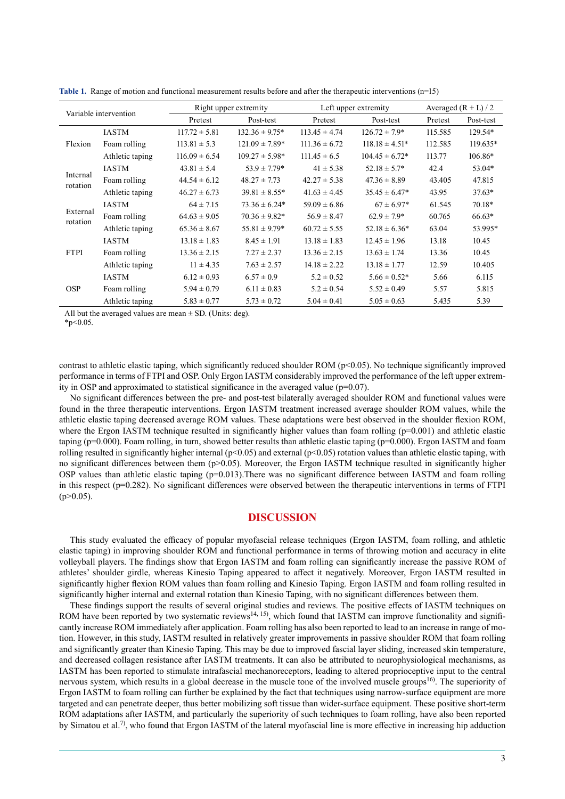| Variable intervention |                 | Right upper extremity |                     | Left upper extremity |                     | Averaged $(R + L)/2$ |           |
|-----------------------|-----------------|-----------------------|---------------------|----------------------|---------------------|----------------------|-----------|
|                       |                 | Pretest               | Post-test           | Pretest              | Post-test           | Pretest              | Post-test |
| Flexion               | <b>IASTM</b>    | $117.72 \pm 5.81$     | $132.36 \pm 9.75^*$ | $113.45 \pm 4.74$    | $126.72 \pm 7.9^*$  | 115.585              | 129.54*   |
|                       | Foam rolling    | $113.81 \pm 5.3$      | $121.09 \pm 7.89*$  | $111.36 \pm 6.72$    | $118.18 \pm 4.51^*$ | 112.585              | 119.635*  |
|                       | Athletic taping | $116.09 \pm 6.54$     | $109.27 \pm 5.98^*$ | $111.45 \pm 6.5$     | $104.45 \pm 6.72^*$ | 113.77               | $106.86*$ |
| Internal<br>rotation  | <b>IASTM</b>    | $43.81 \pm 5.4$       | $53.9 \pm 7.79*$    | $41 \pm 5.38$        | $52.18 \pm 5.7^*$   | 42.4                 | 53.04*    |
|                       | Foam rolling    | $44.54 \pm 6.12$      | $48.27 \pm 7.73$    | $42.27 \pm 5.38$     | $47.36 \pm 8.89$    | 43.405               | 47.815    |
|                       | Athletic taping | $46.27 \pm 6.73$      | $39.81 \pm 8.55^*$  | $41.63 \pm 4.45$     | $35.45 \pm 6.47*$   | 43.95                | $37.63*$  |
| External<br>rotation  | <b>IASTM</b>    | $64 \pm 7.15$         | $73.36 \pm 6.24*$   | $59.09 \pm 6.86$     | $67 \pm 6.97*$      | 61.545               | $70.18*$  |
|                       | Foam rolling    | $64.63 \pm 9.05$      | $70.36 \pm 9.82*$   | $56.9 \pm 8.47$      | $62.9 \pm 7.9*$     | 60.765               | 66.63*    |
|                       | Athletic taping | $65.36 \pm 8.67$      | $55.81 \pm 9.79*$   | $60.72 \pm 5.55$     | $52.18 \pm 6.36^*$  | 63.04                | 53.995*   |
| <b>FTPI</b>           | <b>IASTM</b>    | $13.18 \pm 1.83$      | $8.45 \pm 1.91$     | $13.18 \pm 1.83$     | $12.45 \pm 1.96$    | 13.18                | 10.45     |
|                       | Foam rolling    | $13.36 \pm 2.15$      | $7.27 \pm 2.37$     | $13.36 \pm 2.15$     | $13.63 \pm 1.74$    | 13.36                | 10.45     |
|                       | Athletic taping | $11 \pm 4.35$         | $7.63 \pm 2.57$     | $14.18 \pm 2.22$     | $13.18 \pm 1.77$    | 12.59                | 10.405    |
| <b>OSP</b>            | <b>IASTM</b>    | $6.12 \pm 0.93$       | $6.57 \pm 0.9$      | $5.2 \pm 0.52$       | $5.66 \pm 0.52*$    | 5.66                 | 6.115     |
|                       | Foam rolling    | $5.94 \pm 0.79$       | $6.11 \pm 0.83$     | $5.2 \pm 0.54$       | $5.52 \pm 0.49$     | 5.57                 | 5.815     |
|                       | Athletic taping | $5.83 \pm 0.77$       | $5.73 \pm 0.72$     | $5.04 \pm 0.41$      | $5.05 \pm 0.63$     | 5.435                | 5.39      |

**Table 1.** Range of motion and functional measurement results before and after the therapeutic interventions (n=15)

All but the averaged values are mean  $\pm$  SD. (Units: deg).

 $*_{p<0.05}$ .

contrast to athletic elastic taping, which significantly reduced shoulder ROM (p<0.05). No technique significantly improved performance in terms of FTPI and OSP. Only Ergon IASTM considerably improved the performance of the left upper extremity in OSP and approximated to statistical significance in the averaged value (p=0.07).

No significant differences between the pre- and post-test bilaterally averaged shoulder ROM and functional values were found in the three therapeutic interventions. Ergon IASTM treatment increased average shoulder ROM values, while the athletic elastic taping decreased average ROM values. These adaptations were best observed in the shoulder flexion ROM, where the Ergon IASTM technique resulted in significantly higher values than foam rolling  $(p=0.001)$  and athletic elastic taping (p=0.000). Foam rolling, in turn, showed better results than athletic elastic taping (p=0.000). Ergon IASTM and foam rolling resulted in significantly higher internal ( $p<0.05$ ) and external ( $p<0.05$ ) rotation values than athletic elastic taping, with no significant differences between them (p>0.05). Moreover, the Ergon IASTM technique resulted in significantly higher OSP values than athletic elastic taping (p=0.013).There was no significant difference between IASTM and foam rolling in this respect (p=0.282). No significant differences were observed between the therapeutic interventions in terms of FTPI  $(p>0.05)$ .

#### **DISCUSSION**

This study evaluated the efficacy of popular myofascial release techniques (Ergon IASTM, foam rolling, and athletic elastic taping) in improving shoulder ROM and functional performance in terms of throwing motion and accuracy in elite volleyball players. The findings show that Ergon IASTM and foam rolling can significantly increase the passive ROM of athletes' shoulder girdle, whereas Kinesio Taping appeared to affect it negatively. Moreover, Ergon IASTM resulted in significantly higher flexion ROM values than foam rolling and Kinesio Taping. Ergon IASTM and foam rolling resulted in significantly higher internal and external rotation than Kinesio Taping, with no significant differences between them.

These findings support the results of several original studies and reviews. The positive effects of IASTM techniques on ROM have been reported by two systematic reviews<sup>[14,](#page-3-9) 15</sup>), which found that IASTM can improve functionality and significantly increase ROM immediately after application. Foam rolling has also been reported to lead to an increase in range of motion. However, in this study, IASTM resulted in relatively greater improvements in passive shoulder ROM that foam rolling and significantly greater than Kinesio Taping. This may be due to improved fascial layer sliding, increased skin temperature, and decreased collagen resistance after IASTM treatments. It can also be attributed to neurophysiological mechanisms, as IASTM has been reported to stimulate intrafascial mechanoreceptors, leading to altered proprioceptive input to the central nervous system, which results in a global decrease in the muscle tone of the involved muscle groups<sup>[16](#page-3-10)</sup>. The superiority of Ergon IASTM to foam rolling can further be explained by the fact that techniques using narrow-surface equipment are more targeted and can penetrate deeper, thus better mobilizing soft tissue than wider-surface equipment. These positive short-term ROM adaptations after IASTM, and particularly the superiority of such techniques to foam rolling, have also been reported by Simatou et al.<sup>[7](#page-3-6))</sup>, who found that Ergon IASTM of the lateral myofascial line is more effective in increasing hip adduction